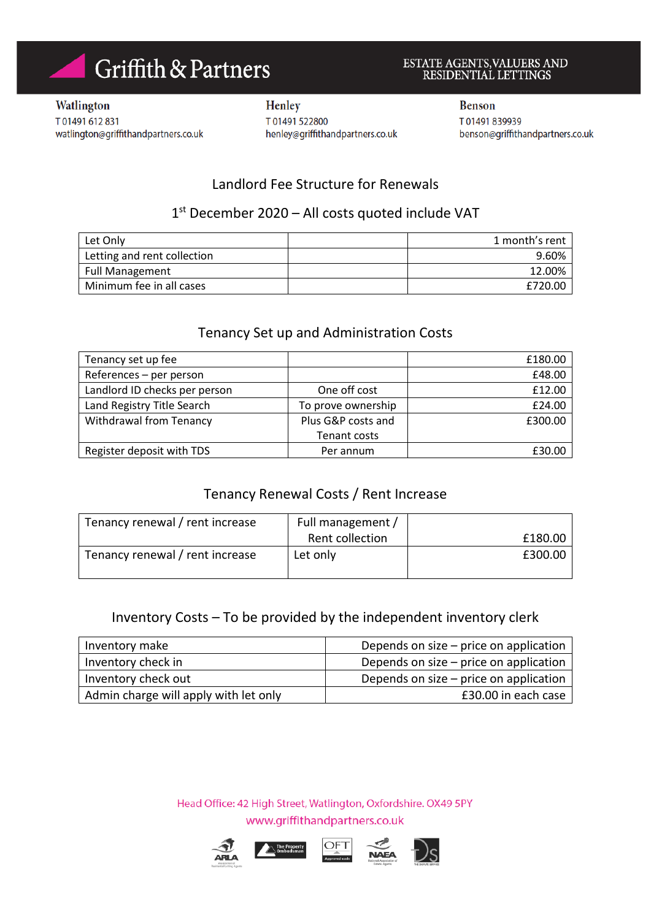# Griffith & Partners

# ESTATE AGENTS,VALUERS AND RESIDENTIAL LETTINGS

Watlington T01491612831 watlington@griffithandpartners.co.uk

Henley T01491522800 henley@griffithandpartners.co.uk **Benson** T01491839939 benson@griffithandpartners.co.uk

# Landlord Fee Structure for Renewals

# 1<sup>st</sup> December 2020 - All costs quoted include VAT

| Let Only                    | 1 month's rent |
|-----------------------------|----------------|
| Letting and rent collection | 9.60%          |
| <b>Full Management</b>      | 12.00%         |
| Minimum fee in all cases    | £720.00        |

### Tenancy Set up and Administration Costs

| Tenancy set up fee             |                    | £180.00 |
|--------------------------------|--------------------|---------|
| References - per person        |                    | £48.00  |
| Landlord ID checks per person  | One off cost       | £12.00  |
| Land Registry Title Search     | To prove ownership | £24.00  |
| <b>Withdrawal from Tenancy</b> | Plus G&P costs and | £300.00 |
|                                | Tenant costs       |         |
| Register deposit with TDS      | Per annum          | £30.00  |

### Tenancy Renewal Costs / Rent Increase

| Tenancy renewal / rent increase | Full management / |         |
|---------------------------------|-------------------|---------|
|                                 | Rent collection   | £180.00 |
| Tenancy renewal / rent increase | Let only          | £300.00 |

# Inventory Costs – To be provided by the independent inventory clerk

| Inventory make                        | Depends on size $-$ price on application |
|---------------------------------------|------------------------------------------|
| Inventory check in                    | Depends on size $-$ price on application |
| Inventory check out                   | Depends on size $-$ price on application |
| Admin charge will apply with let only | £30.00 in each case                      |

Head Office: 42 High Street, Watlington, Oxfordshire. OX49 5PY www.griffithandpartners.co.uk